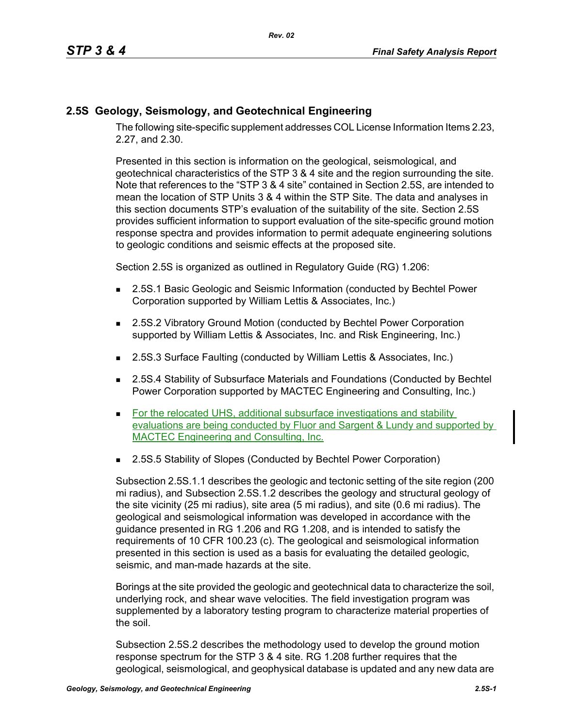## **2.5S Geology, Seismology, and Geotechnical Engineering**

The following site-specific supplement addresses COL License Information Items 2.23, 2.27, and 2.30.

Presented in this section is information on the geological, seismological, and geotechnical characteristics of the STP 3 & 4 site and the region surrounding the site. Note that references to the "STP 3 & 4 site" contained in Section 2.5S, are intended to mean the location of STP Units 3 & 4 within the STP Site. The data and analyses in this section documents STP's evaluation of the suitability of the site. Section 2.5S provides sufficient information to support evaluation of the site-specific ground motion response spectra and provides information to permit adequate engineering solutions to geologic conditions and seismic effects at the proposed site.

Section 2.5S is organized as outlined in Regulatory Guide (RG) 1.206:

- **2.5S.1 Basic Geologic and Seismic Information (conducted by Bechtel Power** Corporation supported by William Lettis & Associates, Inc.)
- 2.5S.2 Vibratory Ground Motion (conducted by Bechtel Power Corporation supported by William Lettis & Associates, Inc. and Risk Engineering, Inc.)
- 2.5S.3 Surface Faulting (conducted by William Lettis & Associates, Inc.)
- 2.5S.4 Stability of Subsurface Materials and Foundations (Conducted by Bechtel Power Corporation supported by MACTEC Engineering and Consulting, Inc.)
- For the relocated UHS, additional subsurface investigations and stability evaluations are being conducted by Fluor and Sargent & Lundy and supported by MACTEC Engineering and Consulting, Inc.
- 2.5S.5 Stability of Slopes (Conducted by Bechtel Power Corporation)

Subsection 2.5S.1.1 describes the geologic and tectonic setting of the site region (200 mi radius), and Subsection 2.5S.1.2 describes the geology and structural geology of the site vicinity (25 mi radius), site area (5 mi radius), and site (0.6 mi radius). The geological and seismological information was developed in accordance with the guidance presented in RG 1.206 and RG 1.208, and is intended to satisfy the requirements of 10 CFR 100.23 (c). The geological and seismological information presented in this section is used as a basis for evaluating the detailed geologic, seismic, and man-made hazards at the site.

Borings at the site provided the geologic and geotechnical data to characterize the soil, underlying rock, and shear wave velocities. The field investigation program was supplemented by a laboratory testing program to characterize material properties of the soil.

Subsection 2.5S.2 describes the methodology used to develop the ground motion response spectrum for the STP 3 & 4 site. RG 1.208 further requires that the geological, seismological, and geophysical database is updated and any new data are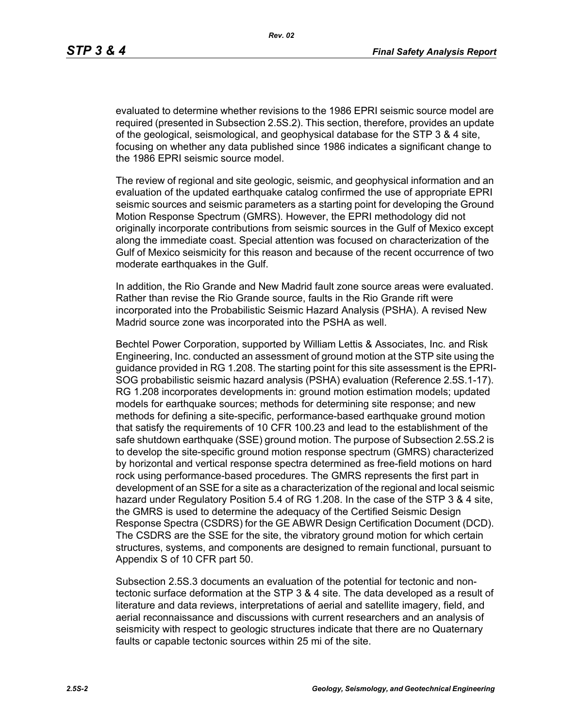evaluated to determine whether revisions to the 1986 EPRI seismic source model are required (presented in Subsection 2.5S.2). This section, therefore, provides an update of the geological, seismological, and geophysical database for the STP 3 & 4 site, focusing on whether any data published since 1986 indicates a significant change to the 1986 EPRI seismic source model.

The review of regional and site geologic, seismic, and geophysical information and an evaluation of the updated earthquake catalog confirmed the use of appropriate EPRI seismic sources and seismic parameters as a starting point for developing the Ground Motion Response Spectrum (GMRS). However, the EPRI methodology did not originally incorporate contributions from seismic sources in the Gulf of Mexico except along the immediate coast. Special attention was focused on characterization of the Gulf of Mexico seismicity for this reason and because of the recent occurrence of two moderate earthquakes in the Gulf.

In addition, the Rio Grande and New Madrid fault zone source areas were evaluated. Rather than revise the Rio Grande source, faults in the Rio Grande rift were incorporated into the Probabilistic Seismic Hazard Analysis (PSHA). A revised New Madrid source zone was incorporated into the PSHA as well.

Bechtel Power Corporation, supported by William Lettis & Associates, Inc. and Risk Engineering, Inc. conducted an assessment of ground motion at the STP site using the guidance provided in RG 1.208. The starting point for this site assessment is the EPRI-SOG probabilistic seismic hazard analysis (PSHA) evaluation (Reference 2.5S.1-17). RG 1.208 incorporates developments in: ground motion estimation models; updated models for earthquake sources; methods for determining site response; and new methods for defining a site-specific, performance-based earthquake ground motion that satisfy the requirements of 10 CFR 100.23 and lead to the establishment of the safe shutdown earthquake (SSE) ground motion. The purpose of Subsection 2.5S.2 is to develop the site-specific ground motion response spectrum (GMRS) characterized by horizontal and vertical response spectra determined as free-field motions on hard rock using performance-based procedures. The GMRS represents the first part in development of an SSE for a site as a characterization of the regional and local seismic hazard under Regulatory Position 5.4 of RG 1.208. In the case of the STP 3 & 4 site, the GMRS is used to determine the adequacy of the Certified Seismic Design Response Spectra (CSDRS) for the GE ABWR Design Certification Document (DCD). The CSDRS are the SSE for the site, the vibratory ground motion for which certain structures, systems, and components are designed to remain functional, pursuant to Appendix S of 10 CFR part 50.

Subsection 2.5S.3 documents an evaluation of the potential for tectonic and nontectonic surface deformation at the STP 3 & 4 site. The data developed as a result of literature and data reviews, interpretations of aerial and satellite imagery, field, and aerial reconnaissance and discussions with current researchers and an analysis of seismicity with respect to geologic structures indicate that there are no Quaternary faults or capable tectonic sources within 25 mi of the site.